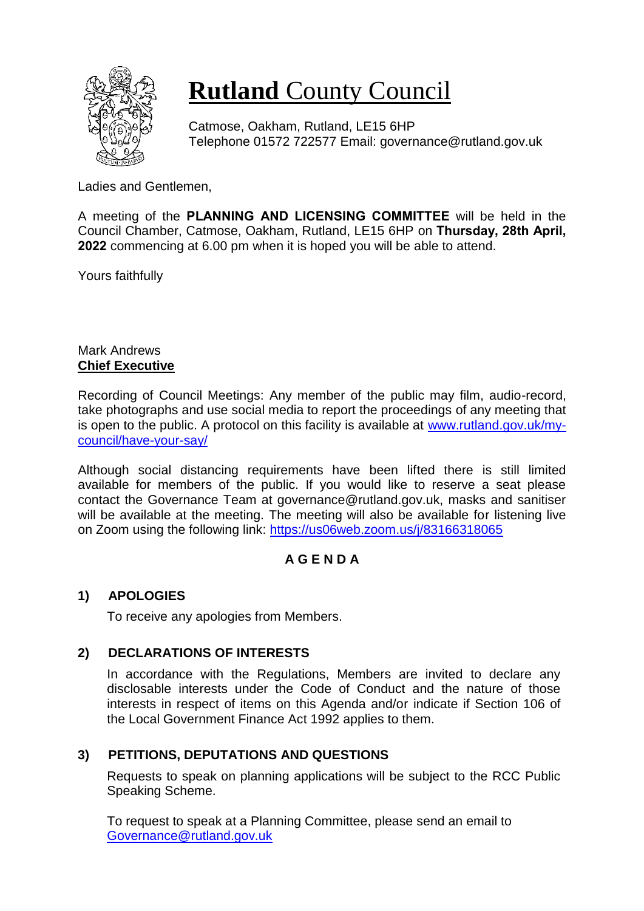

# **Rutland** County Council

Catmose, Oakham, Rutland, LE15 6HP Telephone 01572 722577 Email: governance@rutland.gov.uk

Ladies and Gentlemen,

A meeting of the **PLANNING AND LICENSING COMMITTEE** will be held in the Council Chamber, Catmose, Oakham, Rutland, LE15 6HP on **Thursday, 28th April, 2022** commencing at 6.00 pm when it is hoped you will be able to attend.

Yours faithfully

#### Mark Andrews **Chief Executive**

Recording of Council Meetings: Any member of the public may film, audio-record, take photographs and use social media to report the proceedings of any meeting that is open to the public. A protocol on this facility is available at [www.rutland.gov.uk/my](http://www.rutland.gov.uk/my-council/have-your-say/)[council/have-your-say/](http://www.rutland.gov.uk/my-council/have-your-say/)

Although social distancing requirements have been lifted there is still limited available for members of the public. If you would like to reserve a seat please contact the Governance Team at governance@rutland.gov.uk, masks and sanitiser will be available at the meeting. The meeting will also be available for listening live on Zoom using the following link:<https://us06web.zoom.us/j/83166318065>

# **A G E N D A**

## **1) APOLOGIES**

To receive any apologies from Members.

## **2) DECLARATIONS OF INTERESTS**

In accordance with the Regulations, Members are invited to declare any disclosable interests under the Code of Conduct and the nature of those interests in respect of items on this Agenda and/or indicate if Section 106 of the Local Government Finance Act 1992 applies to them.

# **3) PETITIONS, DEPUTATIONS AND QUESTIONS**

Requests to speak on planning applications will be subject to the RCC Public Speaking Scheme.

To request to speak at a Planning Committee, please send an email to [Governance@rutland.gov.uk](mailto:Governance@rutland.gov.uk)